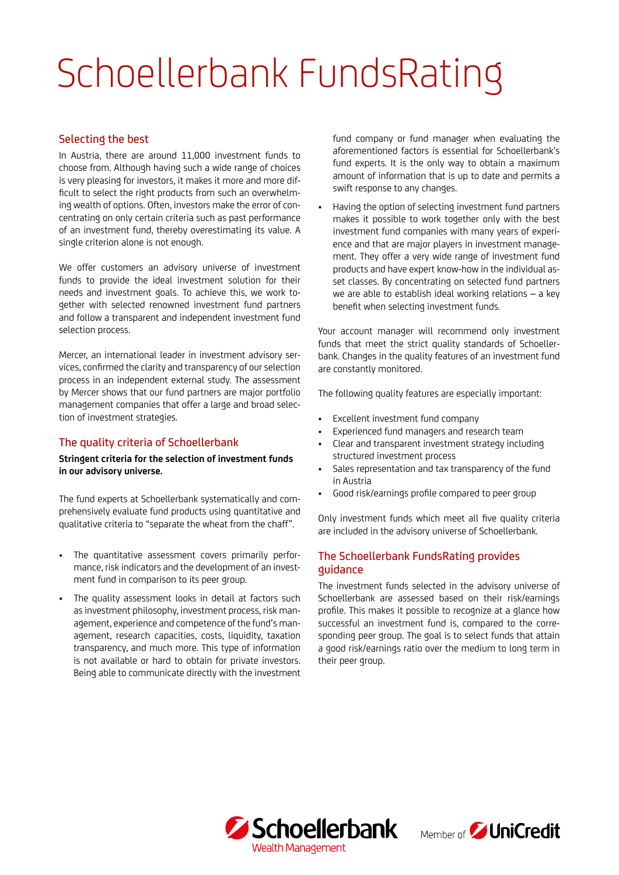# Schoellerbank FundsRating

## Selecting the best

In Austria, there are around 11,000 investment funds to choose from. Although having such a wide range of choices is very pleasing for investors, it makes it more and more difficult to select the right products from such an overwhelming wealth of options. Often, investors make the error of concentrating on only certain criteria such as past performance of an investment fund, thereby overestimating its value. A single criterion alone is not enough.

We offer customers an advisory universe of investment funds to provide the ideal investment solution for their needs and investment goals. To achieve this, we work together with selected renowned investment fund partners and follow a transparent and independent investment fund selection process.

Mercer, an international leader in investment advisory services, confirmed the clarity and transparency of our selection process in an independent external study. The assessment by Mercer shows that our fund partners are major portfolio management companies that offer a large and broad selection of investment strategies.

## The quality criteria of Schoellerbank

#### **Stringent criteria for the selection of investment funds in our advisory universe.**

The fund experts at Schoellerbank systematically and comprehensively evaluate fund products using quantitative and qualitative criteria to "separate the wheat from the chaff".

- The quantitative assessment covers primarily performance, risk indicators and the development of an investment fund in comparison to its peer group.
- The quality assessment looks in detail at factors such as investment philosophy, investment process, risk management, experience and competence of the fund's management, research capacities, costs, liquidity, taxation transparency, and much more. This type of information is not available or hard to obtain for private investors. Being able to communicate directly with the investment

fund company or fund manager when evaluating the aforementioned factors is essential for Schoellerbank's fund experts. It is the only way to obtain a maximum amount of information that is up to date and permits a swift response to any changes.

• Having the option of selecting investment fund partners makes it possible to work together only with the best investment fund companies with many years of experience and that are major players in investment management. They offer a very wide range of investment fund products and have expert know-how in the individual asset classes. By concentrating on selected fund partners we are able to establish ideal working relations – a key benefit when selecting investment funds.

Your account manager will recommend only investment funds that meet the strict quality standards of Schoellerbank. Changes in the quality features of an investment fund are constantly monitored.

The following quality features are especially important:

- Excellent investment fund company
- Experienced fund managers and research team
- Clear and transparent investment strategy including structured investment process
- Sales representation and tax transparency of the fund in Austria
- Good risk/earnings profile compared to peer group

Only investment funds which meet all five quality criteria are included in the advisory universe of Schoellerbank.

## The Schoellerbank FundsRating provides guidance

The investment funds selected in the advisory universe of Schoellerbank are assessed based on their risk/earnings profile. This makes it possible to recognize at a glance how successful an investment fund is, compared to the corresponding peer group. The goal is to select funds that attain a good risk/earnings ratio over the medium to long term in their peer group.



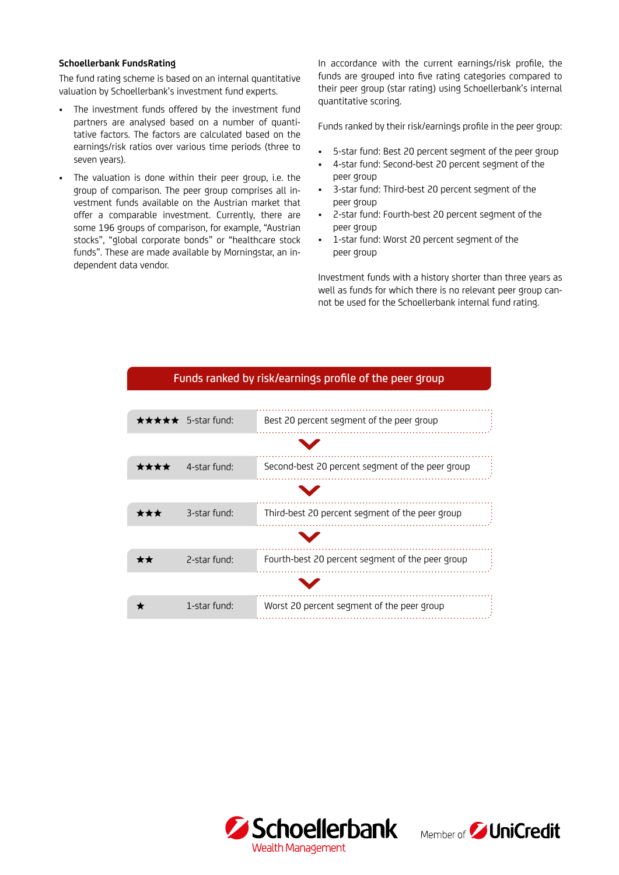#### **Schoellerbank FundsRating**

The fund rating scheme is based on an internal quantitative valuation by Schoellerbank's investment fund experts.

- The investment funds offered by the investment fund partners are analysed based on a number of quantitative factors. The factors are calculated based on the earnings/risk ratios over various time periods (three to seven years).
- The valuation is done within their peer group, i.e. the group of comparison. The peer group comprises all investment funds available on the Austrian market that offer a comparable investment. Currently, there are some 196 groups of comparison, for example, "Austrian stocks", "global corporate bonds" or "healthcare stock funds". These are made available by Morningstar, an independent data vendor.

In accordance with the current earnings/risk profile, the funds are grouped into five rating categories compared to their peer group (star rating) using Schoellerbank's internal quantitative scoring.

Funds ranked by their risk/earnings profile in the peer group:

- 5-star fund: Best 20 percent segment of the peer group
- 4-star fund: Second-best 20 percent segment of the peer group
- 3-star fund: Third-best 20 percent segment of the peer group
- 2-star fund: Fourth-best 20 percent segment of the peer group
- 1-star fund: Worst 20 percent segment of the peer group

Investment funds with a history shorter than three years as well as funds for which there is no relevant peer group cannot be used for the Schoellerbank internal fund rating.

|      | $\star \star \star \star \star$ 5-star fund: | Best 20 percent segment of the peer group        |
|------|----------------------------------------------|--------------------------------------------------|
|      |                                              |                                                  |
| **** | 4-star fund:                                 | Second-best 20 percent segment of the peer group |
|      |                                              |                                                  |
| ***  | 3-star fund:                                 | Third-best 20 percent segment of the peer group  |
|      |                                              |                                                  |
| **   | 2-star fund:                                 | Fourth-best 20 percent segment of the peer group |
|      |                                              |                                                  |
|      | 1-star fund:                                 | Worst 20 percent segment of the peer group       |
|      |                                              |                                                  |

### Funds ranked by risk/earnings profile of the peer group